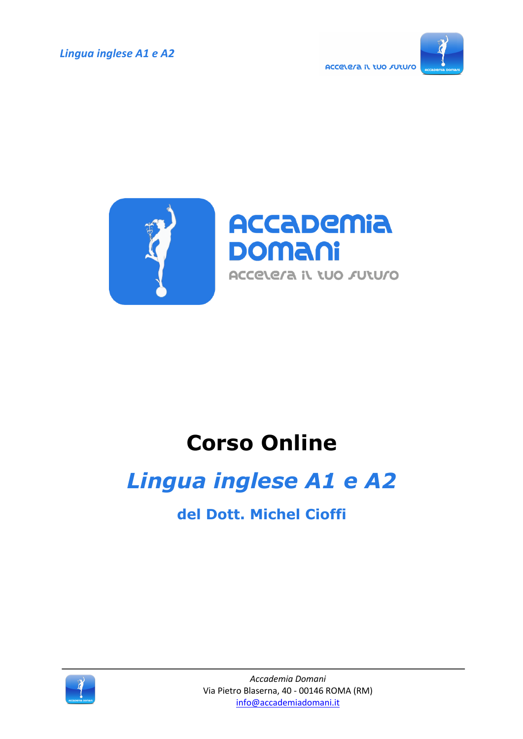*Lingua inglese A1 e A2*





## **Corso Online**

## *Lingua inglese A1 e A2*

**del Dott. Michel Cioffi**

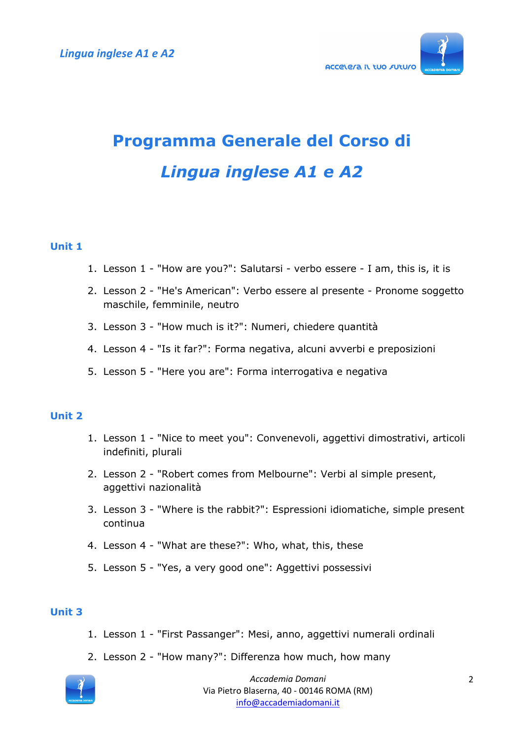

# **Programma Generale del Corso di** *Lingua inglese A1 e A2*

#### **Unit 1**

- 1. Lesson 1 "How are you?": Salutarsi verbo essere I am, this is, it is
- 2. Lesson 2 "He's American": Verbo essere al presente Pronome soggetto maschile, femminile, neutro
- 3. Lesson 3 "How much is it?": Numeri, chiedere quantità
- 4. Lesson 4 "Is it far?": Forma negativa, alcuni avverbi e preposizioni
- 5. Lesson 5 "Here you are": Forma interrogativa e negativa

#### **Unit 2**

- 1. Lesson 1 "Nice to meet you": Convenevoli, aggettivi dimostrativi, articoli indefiniti, plurali
- 2. Lesson 2 "Robert comes from Melbourne": Verbi al simple present, aggettivi nazionalità
- 3. Lesson 3 "Where is the rabbit?": Espressioni idiomatiche, simple present continua
- 4. Lesson 4 "What are these?": Who, what, this, these
- 5. Lesson 5 "Yes, a very good one": Aggettivi possessivi

#### **Unit 3**

- 1. Lesson 1 "First Passanger": Mesi, anno, aggettivi numerali ordinali
- 2. Lesson 2 "How many?": Differenza how much, how many



*Accademia Domani* Via Pietro Blaserna, 40 - 00146 ROMA (RM) info@accademiadomani.it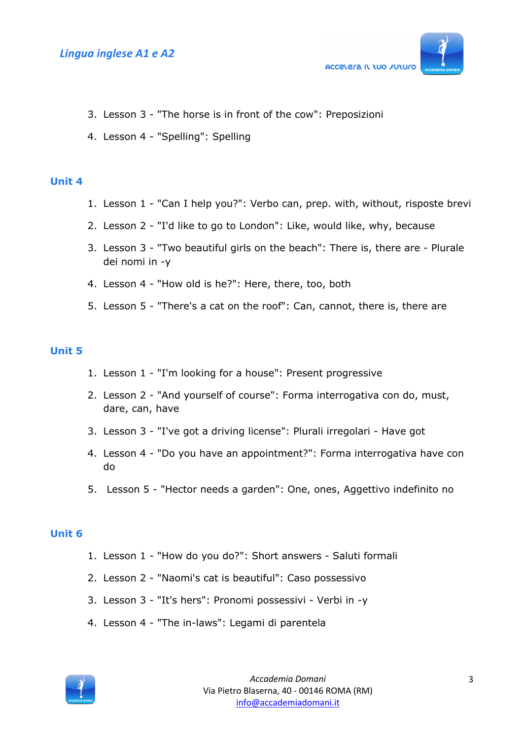

- 3. Lesson 3 "The horse is in front of the cow": Preposizioni
- 4. Lesson 4 "Spelling": Spelling

#### **Unit 4**

- 1. Lesson 1 "Can I help you?": Verbo can, prep. with, without, risposte brevi
- 2. Lesson 2 "I'd like to go to London": Like, would like, why, because
- 3. Lesson 3 "Two beautiful girls on the beach": There is, there are Plurale dei nomi in -y
- 4. Lesson 4 "How old is he?": Here, there, too, both
- 5. Lesson 5 "There's a cat on the roof": Can, cannot, there is, there are

#### **Unit 5**

- 1. Lesson 1 "I'm looking for a house": Present progressive
- 2. Lesson 2 "And yourself of course": Forma interrogativa con do, must, dare, can, have
- 3. Lesson 3 "I've got a driving license": Plurali irregolari Have got
- 4. Lesson 4 "Do you have an appointment?": Forma interrogativa have con do
- 5. Lesson 5 "Hector needs a garden": One, ones, Aggettivo indefinito no

#### **Unit 6**

- 1. Lesson 1 "How do you do?": Short answers Saluti formali
- 2. Lesson 2 "Naomi's cat is beautiful": Caso possessivo
- 3. Lesson 3 "It's hers": Pronomi possessivi Verbi in -y
- 4. Lesson 4 "The in-laws": Legami di parentela

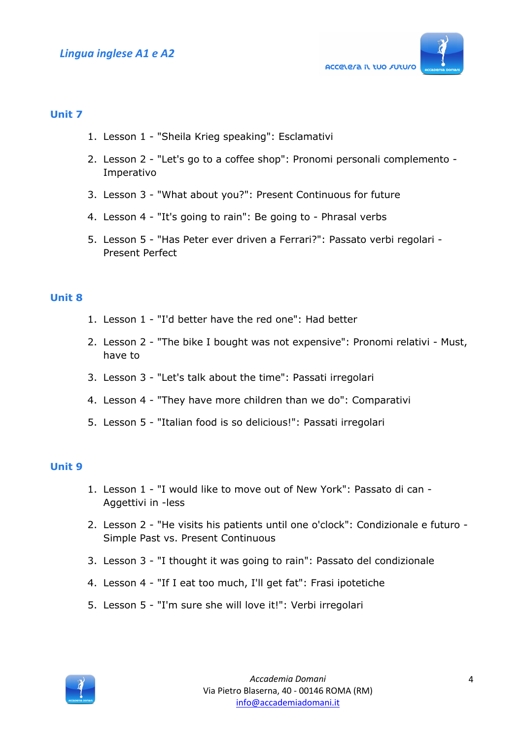

#### **Unit 7**

- 1. Lesson 1 "Sheila Krieg speaking": Esclamativi
- 2. Lesson 2 "Let's go to a coffee shop": Pronomi personali complemento Imperativo
- 3. Lesson 3 "What about you?": Present Continuous for future
- 4. Lesson 4 "It's going to rain": Be going to Phrasal verbs
- 5. Lesson 5 "Has Peter ever driven a Ferrari?": Passato verbi regolari Present Perfect

#### **Unit 8**

- 1. Lesson 1 "I'd better have the red one": Had better
- 2. Lesson 2 "The bike I bought was not expensive": Pronomi relativi Must, have to
- 3. Lesson 3 "Let's talk about the time": Passati irregolari
- 4. Lesson 4 "They have more children than we do": Comparativi
- 5. Lesson 5 "Italian food is so delicious!": Passati irregolari

#### **Unit 9**

- 1. Lesson 1 "I would like to move out of New York": Passato di can Aggettivi in -less
- 2. Lesson 2 "He visits his patients until one o'clock": Condizionale e futuro Simple Past vs. Present Continuous
- 3. Lesson 3 "I thought it was going to rain": Passato del condizionale
- 4. Lesson 4 "If I eat too much, I'll get fat": Frasi ipotetiche
- 5. Lesson 5 "I'm sure she will love it!": Verbi irregolari